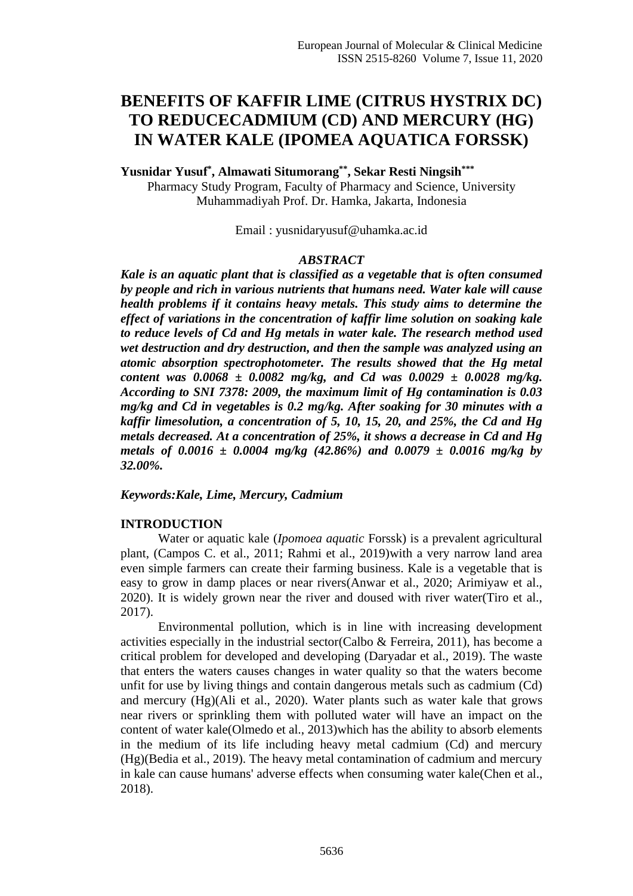# **BENEFITS OF KAFFIR LIME (CITRUS HYSTRIX DC) TO REDUCECADMIUM (CD) AND MERCURY (HG) IN WATER KALE (IPOMEA AQUATICA FORSSK)**

**Yusnidar Yusuf\* , Almawati Situmorang\*\* , Sekar Resti Ningsih\*\*\***

Pharmacy Study Program, Faculty of Pharmacy and Science, University Muhammadiyah Prof. Dr. Hamka, Jakarta, Indonesia

Email : yusnidaryusuf@uhamka.ac.id

#### *ABSTRACT*

*Kale is an aquatic plant that is classified as a vegetable that is often consumed by people and rich in various nutrients that humans need. Water kale will cause health problems if it contains heavy metals. This study aims to determine the effect of variations in the concentration of kaffir lime solution on soaking kale to reduce levels of Cd and Hg metals in water kale. The research method used wet destruction and dry destruction, and then the sample was analyzed using an atomic absorption spectrophotometer. The results showed that the Hg metal content was 0.0068 ± 0.0082 mg/kg, and Cd was 0.0029 ± 0.0028 mg/kg. According to SNI 7378: 2009, the maximum limit of Hg contamination is 0.03 mg/kg and Cd in vegetables is 0.2 mg/kg. After soaking for 30 minutes with a kaffir limesolution, a concentration of 5, 10, 15, 20, and 25%, the Cd and Hg metals decreased. At a concentration of 25%, it shows a decrease in Cd and Hg metals of 0.0016*  $\pm$  *0.0004 mg/kg (42.86%) and 0.0079*  $\pm$  *0.0016 mg/kg by 32.00%.*

## *Keywords:Kale, Lime, Mercury, Cadmium*

## **INTRODUCTION**

Water or aquatic kale (*Ipomoea aquatic* Forssk) is a prevalent agricultural plant, (Campos C. et al., 2011; Rahmi et al., 2019)with a very narrow land area even simple farmers can create their farming business. Kale is a vegetable that is easy to grow in damp places or near rivers(Anwar et al., 2020; Arimiyaw et al., 2020). It is widely grown near the river and doused with river water(Tiro et al., 2017).

Environmental pollution, which is in line with increasing development activities especially in the industrial sector(Calbo & Ferreira, 2011), has become a critical problem for developed and developing (Daryadar et al., 2019). The waste that enters the waters causes changes in water quality so that the waters become unfit for use by living things and contain dangerous metals such as cadmium (Cd) and mercury (Hg)(Ali et al., 2020). Water plants such as water kale that grows near rivers or sprinkling them with polluted water will have an impact on the content of water kale(Olmedo et al., 2013)which has the ability to absorb elements in the medium of its life including heavy metal cadmium (Cd) and mercury (Hg)(Bedia et al., 2019). The heavy metal contamination of cadmium and mercury in kale can cause humans' adverse effects when consuming water kale(Chen et al., 2018).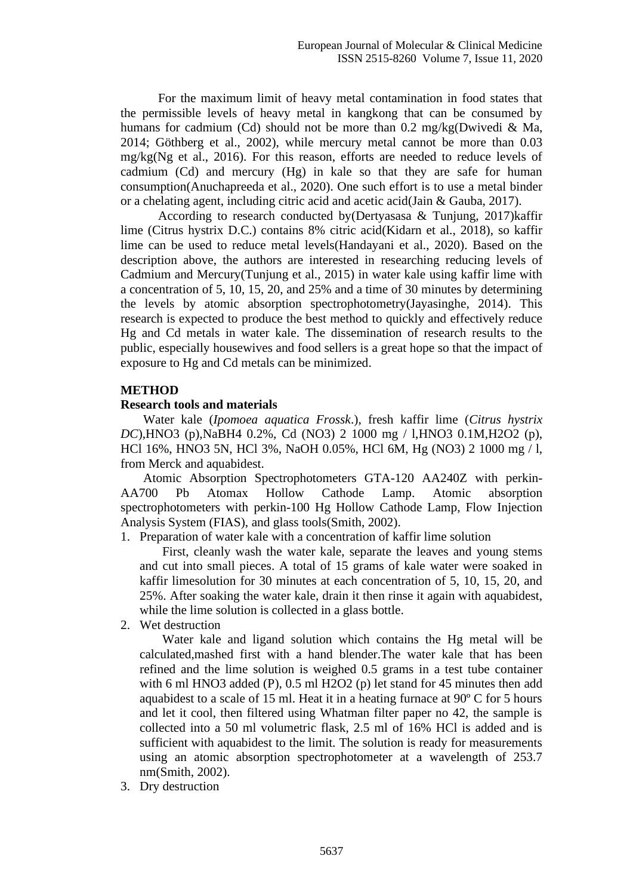For the maximum limit of heavy metal contamination in food states that the permissible levels of heavy metal in kangkong that can be consumed by humans for cadmium (Cd) should not be more than  $0.2 \text{ mg/kg}$ (Dwivedi & Ma, 2014; Göthberg et al., 2002), while mercury metal cannot be more than 0.03 mg/kg(Ng et al., 2016). For this reason, efforts are needed to reduce levels of cadmium (Cd) and mercury (Hg) in kale so that they are safe for human consumption(Anuchapreeda et al., 2020). One such effort is to use a metal binder or a chelating agent, including citric acid and acetic acid(Jain & Gauba, 2017).

According to research conducted by(Dertyasasa & Tunjung, 2017)kaffir lime (Citrus hystrix D.C.) contains 8% citric acid(Kidarn et al., 2018), so kaffir lime can be used to reduce metal levels(Handayani et al., 2020). Based on the description above, the authors are interested in researching reducing levels of Cadmium and Mercury(Tunjung et al., 2015) in water kale using kaffir lime with a concentration of 5, 10, 15, 20, and 25% and a time of 30 minutes by determining the levels by atomic absorption spectrophotometry(Jayasinghe, 2014). This research is expected to produce the best method to quickly and effectively reduce Hg and Cd metals in water kale. The dissemination of research results to the public, especially housewives and food sellers is a great hope so that the impact of exposure to Hg and Cd metals can be minimized.

# **METHOD**

## **Research tools and materials**

Water kale (*Ipomoea aquatica Frossk*.), fresh kaffir lime (*Citrus hystrix DC*),HNO3 (p),NaBH4 0.2%, Cd (NO3) 2 1000 mg / l,HNO3 0.1M,H2O2 (p), HCl 16%, HNO3 5N, HCl 3%, NaOH 0.05%, HCl 6M, Hg (NO3) 2 1000 mg / l, from Merck and aquabidest.

Atomic Absorption Spectrophotometers GTA-120 AA240Z with perkin-AA700 Pb Atomax Hollow Cathode Lamp. Atomic absorption spectrophotometers with perkin-100 Hg Hollow Cathode Lamp, Flow Injection Analysis System (FIAS), and glass tools(Smith, 2002).

1. Preparation of water kale with a concentration of kaffir lime solution

First, cleanly wash the water kale, separate the leaves and young stems and cut into small pieces. A total of 15 grams of kale water were soaked in kaffir limesolution for 30 minutes at each concentration of 5, 10, 15, 20, and 25%. After soaking the water kale, drain it then rinse it again with aquabidest, while the lime solution is collected in a glass bottle.

2. Wet destruction

Water kale and ligand solution which contains the Hg metal will be calculated,mashed first with a hand blender.The water kale that has been refined and the lime solution is weighed 0.5 grams in a test tube container with 6 ml HNO3 added (P), 0.5 ml H2O2 (p) let stand for 45 minutes then add aquabidest to a scale of 15 ml. Heat it in a heating furnace at 90º C for 5 hours and let it cool, then filtered using Whatman filter paper no 42, the sample is collected into a 50 ml volumetric flask, 2.5 ml of 16% HCl is added and is sufficient with aquabidest to the limit. The solution is ready for measurements using an atomic absorption spectrophotometer at a wavelength of 253.7 nm(Smith, 2002).

3. Dry destruction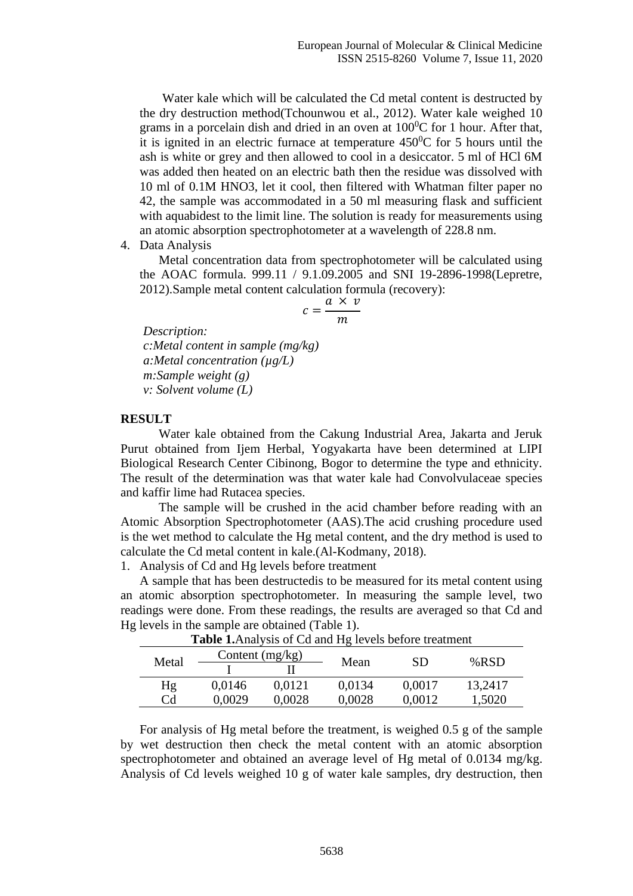Water kale which will be calculated the Cd metal content is destructed by the dry destruction method(Tchounwou et al., 2012). Water kale weighed 10 grams in a porcelain dish and dried in an oven at  $100^{\circ}$ C for 1 hour. After that, it is ignited in an electric furnace at temperature  $450^{\circ}$ C for 5 hours until the ash is white or grey and then allowed to cool in a desiccator. 5 ml of HCl 6M was added then heated on an electric bath then the residue was dissolved with 10 ml of 0.1M HNO3, let it cool, then filtered with Whatman filter paper no 42, the sample was accommodated in a 50 ml measuring flask and sufficient with aquabidest to the limit line. The solution is ready for measurements using an atomic absorption spectrophotometer at a wavelength of 228.8 nm.

4. Data Analysis

Metal concentration data from spectrophotometer will be calculated using the AOAC formula. 999.11 / 9.1.09.2005 and SNI 19-2896-1998(Lepretre, 2012).Sample metal content calculation formula (recovery):

$$
c = \frac{a \times v}{m}
$$

*Description:* 

*c:Metal content in sample (mg/kg) a:Metal concentration (µg/L) m:Sample weight (g) v: Solvent volume (L)*

#### **RESULT**

Water kale obtained from the Cakung Industrial Area, Jakarta and Jeruk Purut obtained from Ijem Herbal, Yogyakarta have been determined at LIPI Biological Research Center Cibinong, Bogor to determine the type and ethnicity. The result of the determination was that water kale had Convolvulaceae species and kaffir lime had Rutacea species.

The sample will be crushed in the acid chamber before reading with an Atomic Absorption Spectrophotometer (AAS).The acid crushing procedure used is the wet method to calculate the Hg metal content, and the dry method is used to calculate the Cd metal content in kale.(Al-Kodmany, 2018).

1. Analysis of Cd and Hg levels before treatment

A sample that has been destructedis to be measured for its metal content using an atomic absorption spectrophotometer. In measuring the sample level, two readings were done. From these readings, the results are averaged so that Cd and Hg levels in the sample are obtained (Table 1).

| <b>Lable 1.</b> Analysis of Cu and Hg levels before treatment |                   |        |        |           |         |  |  |
|---------------------------------------------------------------|-------------------|--------|--------|-----------|---------|--|--|
| Metal                                                         | Content $(mg/kg)$ |        | Mean   | <b>SD</b> | % $RSD$ |  |  |
|                                                               |                   |        |        |           |         |  |  |
| Hg                                                            | 0.0146            | 0.0121 | 0,0134 | 0.0017    | 13,2417 |  |  |
| Cd                                                            | 0.0029            | 0.0028 | 0,0028 | 0.0012    | 1,5020  |  |  |

**Table 1.** Analysis of Cd and Hg levels before treatment

For analysis of Hg metal before the treatment, is weighed 0.5 g of the sample by wet destruction then check the metal content with an atomic absorption spectrophotometer and obtained an average level of Hg metal of 0.0134 mg/kg. Analysis of Cd levels weighed 10 g of water kale samples, dry destruction, then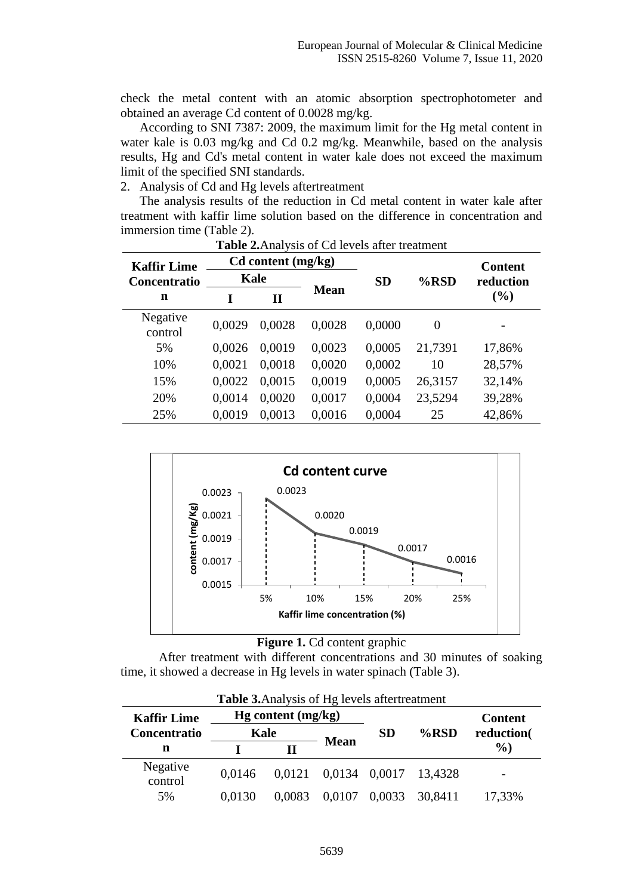check the metal content with an atomic absorption spectrophotometer and obtained an average Cd content of 0.0028 mg/kg.

According to SNI 7387: 2009, the maximum limit for the Hg metal content in water kale is 0.03 mg/kg and Cd 0.2 mg/kg. Meanwhile, based on the analysis results, Hg and Cd's metal content in water kale does not exceed the maximum limit of the specified SNI standards.

2. Analysis of Cd and Hg levels aftertreatment

The analysis results of the reduction in Cd metal content in water kale after treatment with kaffir lime solution based on the difference in concentration and immersion time (Table 2).

| <b>Kaffir Lime</b>  | Cd content (mg/kg) |              |             |           |          | <b>Content</b> |
|---------------------|--------------------|--------------|-------------|-----------|----------|----------------|
| Concentratio        | Kale               |              |             | <b>SD</b> | $%$ RSD  | reduction      |
| n                   |                    | $\mathbf{I}$ | <b>Mean</b> |           |          | (%)            |
| Negative<br>control | 0,0029             | 0,0028       | 0,0028      | 0,0000    | $\theta$ |                |
| 5%                  | 0,0026             | 0,0019       | 0,0023      | 0,0005    | 21,7391  | 17,86%         |
| 10%                 | 0.0021             | 0.0018       | 0,0020      | 0,0002    | 10       | 28,57%         |
| 15%                 | 0,0022             | 0,0015       | 0,0019      | 0,0005    | 26,3157  | 32,14%         |
| 20%                 | 0,0014             | 0,0020       | 0,0017      | 0,0004    | 23,5294  | 39,28%         |
| 25%                 | 0,0019             | 0,0013       | 0,0016      | 0,0004    | 25       | 42,86%         |

**Table 2.**Analysis of Cd levels after treatment





After treatment with different concentrations and 30 minutes of soaking time, it showed a decrease in Hg levels in water spinach (Table 3).

| <b>Table 3.</b> Analysis of Hg levels aftertreatment |                      |        |               |           |         |                |  |  |
|------------------------------------------------------|----------------------|--------|---------------|-----------|---------|----------------|--|--|
| <b>Kaffir Lime</b>                                   | $Hg$ content (mg/kg) |        |               |           |         | <b>Content</b> |  |  |
| Concentratio                                         | Kale                 |        |               | <b>SD</b> | $%$ RSD | reduction(     |  |  |
| n                                                    |                      |        | <b>Mean</b>   |           |         | $\%$ )         |  |  |
| Negative<br>control                                  | 0.0146               | 0.0121 | 0,0134 0,0017 |           | 13,4328 |                |  |  |
| 5%                                                   | 0.0130               | 0,0083 | 0,0107        | 0,0033    | 30,8411 | 17,33%         |  |  |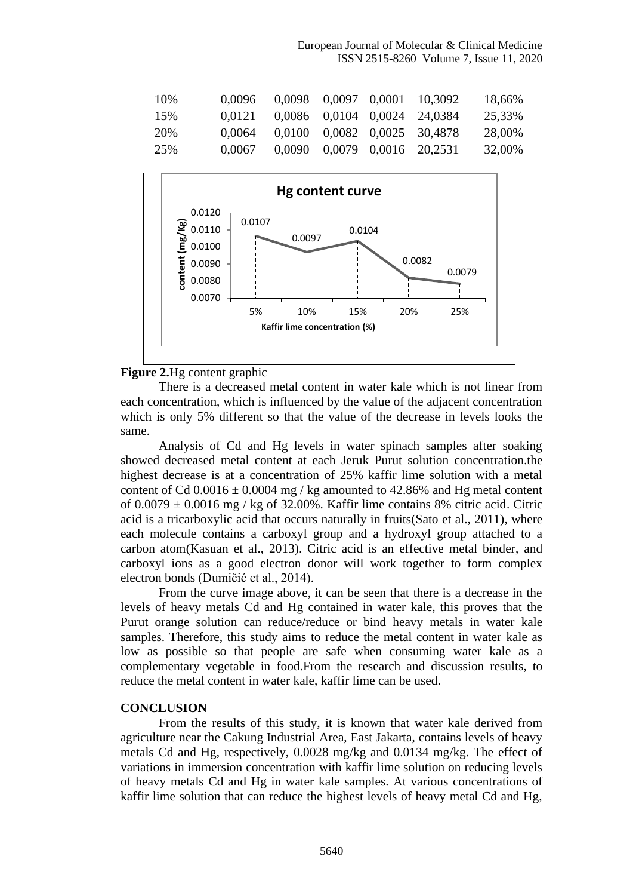European Journal of Molecular & Clinical Medicine ISSN 2515-8260 Volume 7, Issue 11, 2020

| 10\% | 0.0096 |        | 0,0098 0,0097 0,0001 | 10,3092                      | 18,66% |
|------|--------|--------|----------------------|------------------------------|--------|
| 15%  | 0.0121 |        |                      | 0,0086 0,0104 0,0024 24,0384 | 25,33% |
| 20%  | 0.0064 | 0.0100 |                      | 0,0082 0,0025 30,4878        | 28,00% |
| 25%  | 0.0067 | 0,0090 |                      | 0,0079 0,0016 20,2531        | 32,00% |



#### **Figure 2.**Hg content graphic

There is a decreased metal content in water kale which is not linear from each concentration, which is influenced by the value of the adjacent concentration which is only 5% different so that the value of the decrease in levels looks the same.

Analysis of Cd and Hg levels in water spinach samples after soaking showed decreased metal content at each Jeruk Purut solution concentration.the highest decrease is at a concentration of 25% kaffir lime solution with a metal content of Cd  $0.0016 \pm 0.0004$  mg / kg amounted to 42.86% and Hg metal content of  $0.0079 \pm 0.0016$  mg / kg of 32.00%. Kaffir lime contains 8% citric acid. Citric acid is a tricarboxylic acid that occurs naturally in fruits(Sato et al., 2011), where each molecule contains a carboxyl group and a hydroxyl group attached to a carbon atom(Kasuan et al., 2013). Citric acid is an effective metal binder, and carboxyl ions as a good electron donor will work together to form complex electron bonds (Dumičić et al., 2014).

From the curve image above, it can be seen that there is a decrease in the levels of heavy metals Cd and Hg contained in water kale, this proves that the Purut orange solution can reduce/reduce or bind heavy metals in water kale samples. Therefore, this study aims to reduce the metal content in water kale as low as possible so that people are safe when consuming water kale as a complementary vegetable in food.From the research and discussion results, to reduce the metal content in water kale, kaffir lime can be used.

#### **CONCLUSION**

From the results of this study, it is known that water kale derived from agriculture near the Cakung Industrial Area, East Jakarta, contains levels of heavy metals Cd and Hg, respectively, 0.0028 mg/kg and 0.0134 mg/kg. The effect of variations in immersion concentration with kaffir lime solution on reducing levels of heavy metals Cd and Hg in water kale samples. At various concentrations of kaffir lime solution that can reduce the highest levels of heavy metal Cd and Hg,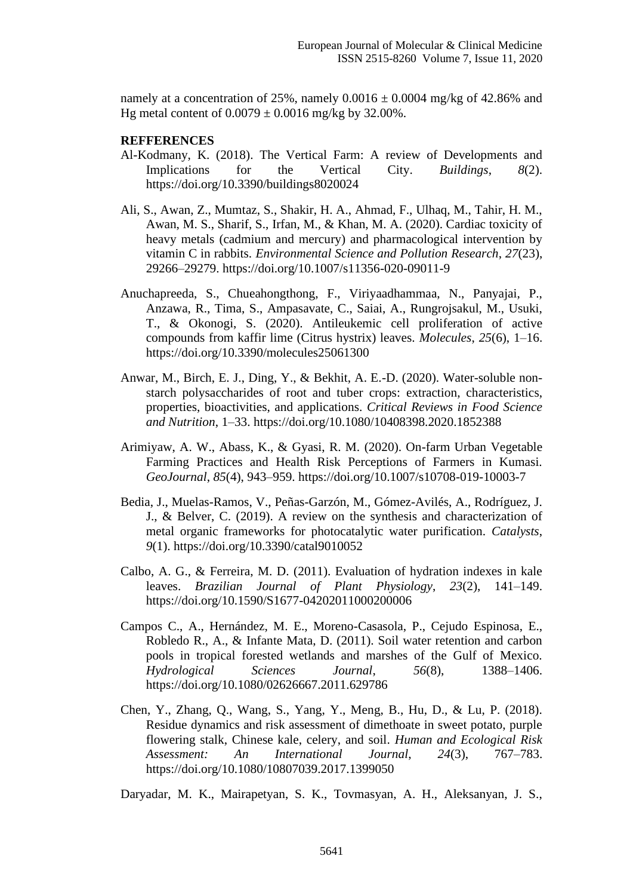namely at a concentration of 25%, namely  $0.0016 \pm 0.0004$  mg/kg of 42.86% and Hg metal content of  $0.0079 \pm 0.0016$  mg/kg by 32.00%.

# **REFFERENCES**

- Al-Kodmany, K. (2018). The Vertical Farm: A review of Developments and Implications for the Vertical City. *Buildings*, *8*(2). https://doi.org/10.3390/buildings8020024
- Ali, S., Awan, Z., Mumtaz, S., Shakir, H. A., Ahmad, F., Ulhaq, M., Tahir, H. M., Awan, M. S., Sharif, S., Irfan, M., & Khan, M. A. (2020). Cardiac toxicity of heavy metals (cadmium and mercury) and pharmacological intervention by vitamin C in rabbits. *Environmental Science and Pollution Research*, *27*(23), 29266–29279. https://doi.org/10.1007/s11356-020-09011-9
- Anuchapreeda, S., Chueahongthong, F., Viriyaadhammaa, N., Panyajai, P., Anzawa, R., Tima, S., Ampasavate, C., Saiai, A., Rungrojsakul, M., Usuki, T., & Okonogi, S. (2020). Antileukemic cell proliferation of active compounds from kaffir lime (Citrus hystrix) leaves. *Molecules*, *25*(6), 1–16. https://doi.org/10.3390/molecules25061300
- Anwar, M., Birch, E. J., Ding, Y., & Bekhit, A. E.-D. (2020). Water-soluble nonstarch polysaccharides of root and tuber crops: extraction, characteristics, properties, bioactivities, and applications. *Critical Reviews in Food Science and Nutrition*, 1–33. https://doi.org/10.1080/10408398.2020.1852388
- Arimiyaw, A. W., Abass, K., & Gyasi, R. M. (2020). On-farm Urban Vegetable Farming Practices and Health Risk Perceptions of Farmers in Kumasi. *GeoJournal*, *85*(4), 943–959. https://doi.org/10.1007/s10708-019-10003-7
- Bedia, J., Muelas-Ramos, V., Peñas-Garzón, M., Gómez-Avilés, A., Rodríguez, J. J., & Belver, C. (2019). A review on the synthesis and characterization of metal organic frameworks for photocatalytic water purification. *Catalysts*, *9*(1). https://doi.org/10.3390/catal9010052
- Calbo, A. G., & Ferreira, M. D. (2011). Evaluation of hydration indexes in kale leaves. *Brazilian Journal of Plant Physiology*, *23*(2), 141–149. https://doi.org/10.1590/S1677-04202011000200006
- Campos C., A., Hernández, M. E., Moreno-Casasola, P., Cejudo Espinosa, E., Robledo R., A., & Infante Mata, D. (2011). Soil water retention and carbon pools in tropical forested wetlands and marshes of the Gulf of Mexico. *Hydrological Sciences Journal*, *56*(8), 1388–1406. https://doi.org/10.1080/02626667.2011.629786
- Chen, Y., Zhang, Q., Wang, S., Yang, Y., Meng, B., Hu, D., & Lu, P. (2018). Residue dynamics and risk assessment of dimethoate in sweet potato, purple flowering stalk, Chinese kale, celery, and soil. *Human and Ecological Risk Assessment: An International Journal*, *24*(3), 767–783. https://doi.org/10.1080/10807039.2017.1399050

Daryadar, M. K., Mairapetyan, S. K., Tovmasyan, A. H., Aleksanyan, J. S.,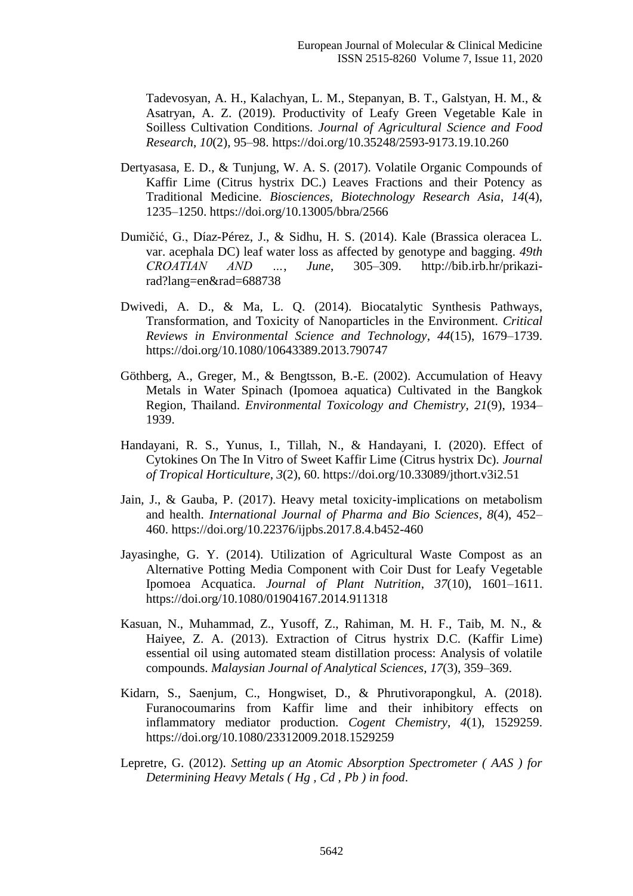Tadevosyan, A. H., Kalachyan, L. M., Stepanyan, B. T., Galstyan, H. M., & Asatryan, A. Z. (2019). Productivity of Leafy Green Vegetable Kale in Soilless Cultivation Conditions. *Journal of Agricultural Science and Food Research*, *10*(2), 95–98. https://doi.org/10.35248/2593-9173.19.10.260

- Dertyasasa, E. D., & Tunjung, W. A. S. (2017). Volatile Organic Compounds of Kaffir Lime (Citrus hystrix DC.) Leaves Fractions and their Potency as Traditional Medicine. *Biosciences, Biotechnology Research Asia*, *14*(4), 1235–1250. https://doi.org/10.13005/bbra/2566
- Dumičić, G., Díaz-Pérez, J., & Sidhu, H. S. (2014). Kale (Brassica oleracea L. var. acephala DC) leaf water loss as affected by genotype and bagging. *49th CROATIAN AND …*, *June*, 305–309. http://bib.irb.hr/prikazirad?lang=en&rad=688738
- Dwivedi, A. D., & Ma, L. Q. (2014). Biocatalytic Synthesis Pathways, Transformation, and Toxicity of Nanoparticles in the Environment. *Critical Reviews in Environmental Science and Technology*, *44*(15), 1679–1739. https://doi.org/10.1080/10643389.2013.790747
- Göthberg, A., Greger, M., & Bengtsson, B.-E. (2002). Accumulation of Heavy Metals in Water Spinach (Ipomoea aquatica) Cultivated in the Bangkok Region, Thailand. *Environmental Toxicology and Chemistry*, *21*(9), 1934– 1939.
- Handayani, R. S., Yunus, I., Tillah, N., & Handayani, I. (2020). Effect of Cytokines On The In Vitro of Sweet Kaffir Lime (Citrus hystrix Dc). *Journal of Tropical Horticulture*, *3*(2), 60. https://doi.org/10.33089/jthort.v3i2.51
- Jain, J., & Gauba, P. (2017). Heavy metal toxicity-implications on metabolism and health. *International Journal of Pharma and Bio Sciences*, *8*(4), 452– 460. https://doi.org/10.22376/ijpbs.2017.8.4.b452-460
- Jayasinghe, G. Y. (2014). Utilization of Agricultural Waste Compost as an Alternative Potting Media Component with Coir Dust for Leafy Vegetable Ipomoea Acquatica. *Journal of Plant Nutrition*, *37*(10), 1601–1611. https://doi.org/10.1080/01904167.2014.911318
- Kasuan, N., Muhammad, Z., Yusoff, Z., Rahiman, M. H. F., Taib, M. N., & Haiyee, Z. A. (2013). Extraction of Citrus hystrix D.C. (Kaffir Lime) essential oil using automated steam distillation process: Analysis of volatile compounds. *Malaysian Journal of Analytical Sciences*, *17*(3), 359–369.
- Kidarn, S., Saenjum, C., Hongwiset, D., & Phrutivorapongkul, A. (2018). Furanocoumarins from Kaffir lime and their inhibitory effects on inflammatory mediator production. *Cogent Chemistry*, *4*(1), 1529259. https://doi.org/10.1080/23312009.2018.1529259
- Lepretre, G. (2012). *Setting up an Atomic Absorption Spectrometer ( AAS ) for Determining Heavy Metals ( Hg , Cd , Pb ) in food*.